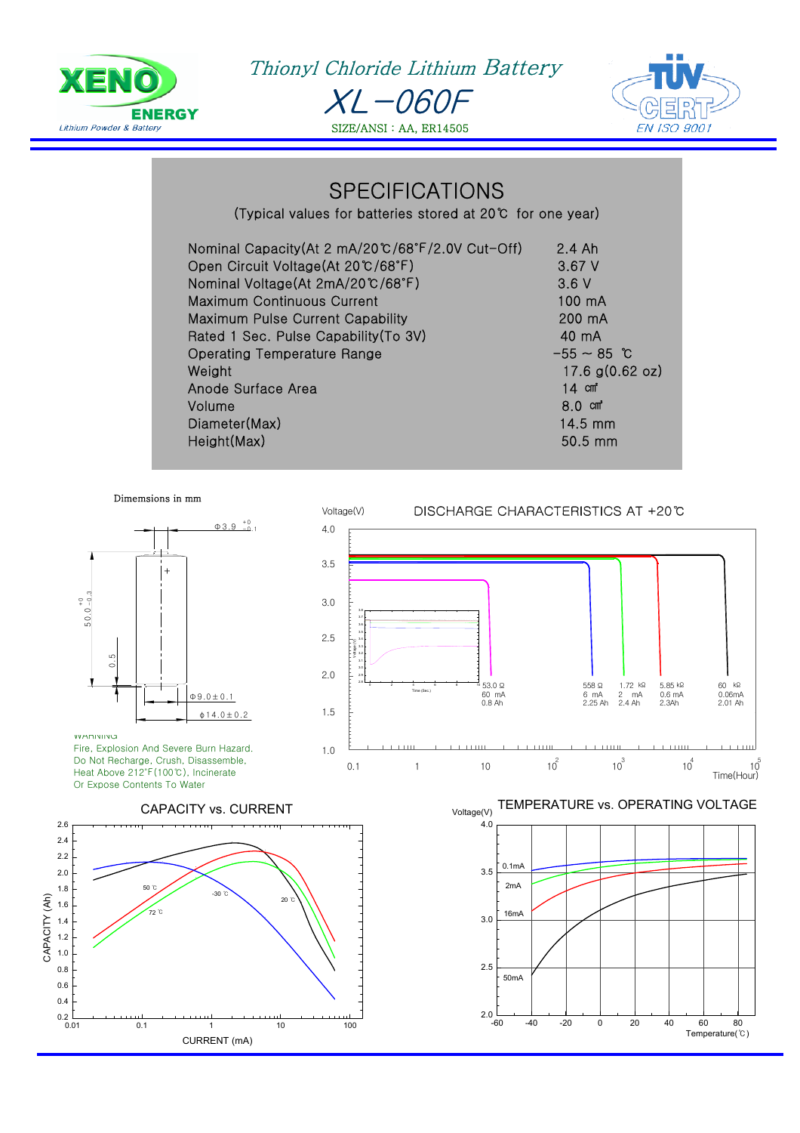

Ī

Thionyl Chloride Lithium Battery XL-060F SIZE/ANSI : AA, ER14505



## **SPECIFICATIONS**

(Typical values for batteries stored at 20℃ for one year)

| Nominal Capacity(At 2 mA/20℃/68°F/2.0V Cut-Off) | $2.4$ Ah                  |
|-------------------------------------------------|---------------------------|
| Open Circuit Voltage(At 20℃/68°F)               | 3.67V                     |
| Nominal Voltage(At 2mA/20℃/68°F)                | 3.6V                      |
| <b>Maximum Continuous Current</b>               | 100 mA                    |
| <b>Maximum Pulse Current Capability</b>         | 200 mA                    |
| Rated 1 Sec. Pulse Capability (To 3V)           | 40 mA                     |
| <b>Operating Temperature Range</b>              | $-55 \sim 85$ °C          |
| Weight                                          | 17.6 $g(0.62 \text{ oz})$ |
| Anode Surface Area                              | 14 cm <sup>*</sup>        |
| Volume                                          | $8.0$ cm <sup>2</sup>     |
| Diameter(Max)                                   | 14.5 mm                   |
| Height(Max)                                     | $50.5$ mm                 |

Voltage(V)

0.1

1

Dimemsions in mm



WARNING Fire, Explosion And Severe Burn Hazard. Do Not Recharge, Crush, Disassemble, Heat Above 212℉(100℃), Incinerate Or Expose Contents To Water



DISCHARGE CHARACTERISTICS AT +20°C